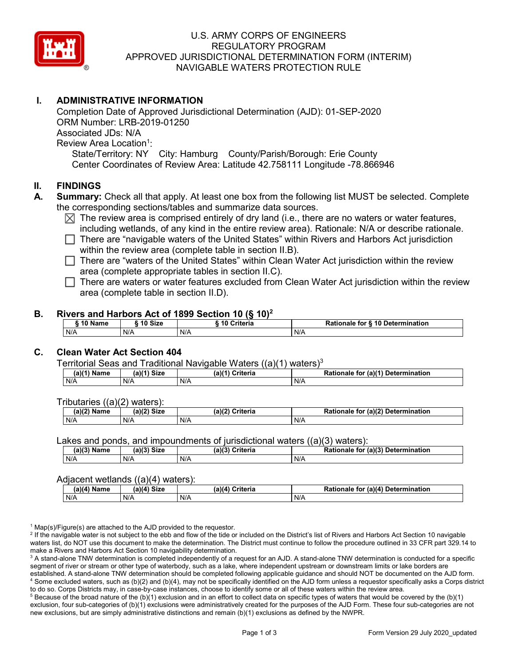

## U.S. ARMY CORPS OF ENGINEERS REGULATORY PROGRAM APPROVED JURISDICTIONAL DETERMINATION FORM (INTERIM) NAVIGABLE WATERS PROTECTION RULE

## **I. ADMINISTRATIVE INFORMATION**

Completion Date of Approved Jurisdictional Determination (AJD): 01-SEP-2020 ORM Number: LRB-2019-01250 Associated JDs: N/A Review Area Location<sup>1</sup>: State/Territory: NY City: Hamburg County/Parish/Borough: Erie County Center Coordinates of Review Area: Latitude 42.758111 Longitude -78.866946

#### **II. FINDINGS**

- **A. Summary:** Check all that apply. At least one box from the following list MUST be selected. Complete the corresponding sections/tables and summarize data sources.
	- $\boxtimes$  The review area is comprised entirely of dry land (i.e., there are no waters or water features, including wetlands, of any kind in the entire review area). Rationale: N/A or describe rationale.
	- There are "navigable waters of the United States" within Rivers and Harbors Act jurisdiction within the review area (complete table in section II.B).

 $\Box$  There are "waters of the United States" within Clean Water Act jurisdiction within the review area (complete appropriate tables in section II.C).

 $\Box$  There are waters or water features excluded from Clean Water Act jurisdiction within the review area (complete table in section II.D).

#### **B. Rivers and Harbors Act of 1899 Section 10 (§ 10)2**

| 10 $N$<br>Name | $\alpha$ 40 $\alpha$<br>JIZU | 10 Criteria | Rationale for § 10 Determination |
|----------------|------------------------------|-------------|----------------------------------|
| N/A            | N/A                          | N/A         | N/t                              |

# **C. Clean Water Act Section 404**

Territorial Seas and Traditional Navigable Waters  $((a)(1)$  waters)<sup>3</sup>

| (a)(1`<br>Name | $(a)(1)$ Size | Criteria<br>$(a)$ <sup><math>(</math></sup> | (a)(1)<br>Determination<br><b>Dation</b><br>tor<br>Rationale |
|----------------|---------------|---------------------------------------------|--------------------------------------------------------------|
| N/A            | N/A           | N/A                                         | N/A                                                          |

Tributaries ((a)(2) waters):

| (a)(2) Name | C <sub>170</sub><br>$\sim$ 10 <sup>1</sup><br>JIZE<br> | Criteria<br>(a)(2) | (a)(2) Determination<br>Rationale<br>for |
|-------------|--------------------------------------------------------|--------------------|------------------------------------------|
| N/A         | N/A                                                    | N/A                | N/A                                      |

Lakes and ponds, and impoundments of jurisdictional waters ((a)(3) waters):

| $(a)(3)$ M<br>Name | $(a)(3)$ Size | (a)(3)<br>Criteria<br>$\sim$ | for (a)(3) Determination<br><b>Rationale</b> |
|--------------------|---------------|------------------------------|----------------------------------------------|
| N/A                | N/A           | N/A                          | N/A                                          |

#### Adjacent wetlands ((a)(4) waters):

| $\cdots$<br>∖ Name<br>.a)(4 | -----<br>$(a)(4)$ Size | .<br>Criteria<br>(a)(4) | (a)(4) Determination<br>Rationale<br>for |
|-----------------------------|------------------------|-------------------------|------------------------------------------|
| N/A                         | N/A                    | N/A                     | N/A                                      |

 $1$  Map(s)/Figure(s) are attached to the AJD provided to the requestor.

<sup>2</sup> If the navigable water is not subject to the ebb and flow of the tide or included on the District's list of Rivers and Harbors Act Section 10 navigable waters list, do NOT use this document to make the determination. The District must continue to follow the procedure outlined in 33 CFR part 329.14 to make a Rivers and Harbors Act Section 10 navigability determination.

<sup>3</sup> A stand-alone TNW determination is completed independently of a request for an AJD. A stand-alone TNW determination is conducted for a specific segment of river or stream or other type of waterbody, such as a lake, where independent upstream or downstream limits or lake borders are established. A stand-alone TNW determination should be completed following applicable guidance and should NOT be documented on the AJD form. <sup>4</sup> Some excluded waters, such as (b)(2) and (b)(4), may not be specifically identified on the AJD form unless a requestor specifically asks a Corps district to do so. Corps Districts may, in case-by-case instances, choose to identify some or all of these waters within the review area.

 $5$  Because of the broad nature of the (b)(1) exclusion and in an effort to collect data on specific types of waters that would be covered by the (b)(1) exclusion, four sub-categories of (b)(1) exclusions were administratively created for the purposes of the AJD Form. These four sub-categories are not new exclusions, but are simply administrative distinctions and remain (b)(1) exclusions as defined by the NWPR.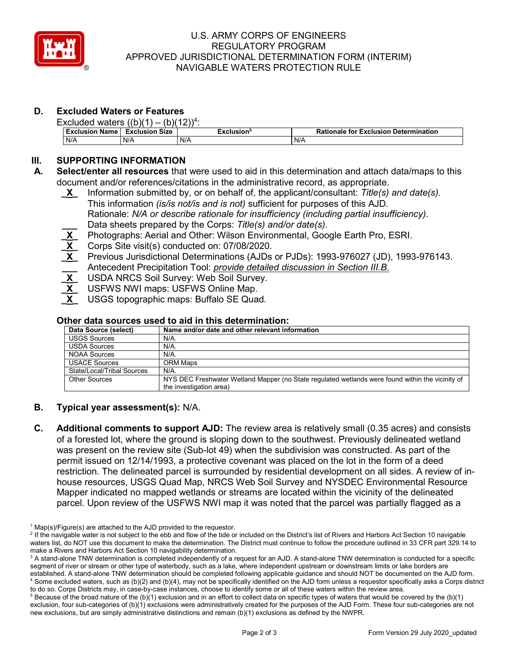

### U.S. ARMY CORPS OF ENGINEERS REGULATORY PROGRAM APPROVED JURISDICTIONAL DETERMINATION FORM (INTERIM) NAVIGABLE WATERS PROTECTION RULE

# **D. Excluded Waters or Features**

| Excluded waters $((b)(1) - (b)(12))^4$ : |                       |                        |                                              |  |
|------------------------------------------|-----------------------|------------------------|----------------------------------------------|--|
| <b>Exclusion Name</b>                    | <b>Exclusion Size</b> | Exclusion <sup>5</sup> | <b>Rationale for Exclusion Determination</b> |  |
| N/A                                      | N/A                   | N/A                    | N/A                                          |  |

## **III. SUPPORTING INFORMATION**

- **A. Select/enter all resources** that were used to aid in this determination and attach data/maps to this document and/or references/citations in the administrative record, as appropriate.
	- **\_X\_** Information submitted by, or on behalf of, the applicant/consultant: *Title(s) and date(s).* This information *(is/is not/is and is not)* sufficient for purposes of this AJD. Rationale: *N/A or describe rationale for insufficiency (including partial insufficiency).* **\_\_\_** Data sheets prepared by the Corps: *Title(s) and/or date(s).*
	- Photographs: Aerial and Other: Wilson Environmental, Google Earth Pro, ESRI.
	- **\_X\_** Corps Site visit(s) conducted on: 07/08/2020*.*
	- **\_X\_** Previous Jurisdictional Determinations (AJDs or PJDs): 1993-976027 (JD), 1993-976143. **\_\_\_** Antecedent Precipitation Tool: *provide detailed discussion in Section III.B.*
	- **\_X\_** USDA NRCS Soil Survey: Web Soil Survey.
	- **\_X\_** USFWS NWI maps: USFWS Online Map.
	- **\_X\_** USGS topographic maps: Buffalo SE Quad*.*

# **Other data sources used to aid in this determination:**

| Data Source (select)       | Name and/or date and other relevant information                                                  |
|----------------------------|--------------------------------------------------------------------------------------------------|
| <b>USGS Sources</b>        | N/A.                                                                                             |
| <b>USDA Sources</b>        | $N/A$ .                                                                                          |
| NOAA Sources               | N/A.                                                                                             |
| <b>USACE Sources</b>       | ORM Maps                                                                                         |
| State/Local/Tribal Sources | $N/A$ .                                                                                          |
| <b>Other Sources</b>       | NYS DEC Freshwater Wetland Mapper (no State regulated wetlands were found within the vicinity of |
|                            | the investigation area)                                                                          |

## **B. Typical year assessment(s):** N/A.

**C. Additional comments to support AJD:** The review area is relatively small (0.35 acres) and consists of a forested lot, where the ground is sloping down to the southwest. Previously delineated wetland was present on the review site (Sub-lot 49) when the subdivision was constructed. As part of the permit issued on 12/14/1993, a protective covenant was placed on the lot in the form of a deed restriction. The delineated parcel is surrounded by residential development on all sides. A review of inhouse resources, USGS Quad Map, NRCS Web Soil Survey and NYSDEC Environmental Resource Mapper indicated no mapped wetlands or streams are located within the vicinity of the delineated parcel. Upon review of the USFWS NWI map it was noted that the parcel was partially flagged as a

 $1$  Map(s)/Figure(s) are attached to the AJD provided to the requestor.

<sup>&</sup>lt;sup>2</sup> If the navigable water is not subject to the ebb and flow of the tide or included on the District's list of Rivers and Harbors Act Section 10 navigable waters list, do NOT use this document to make the determination. The District must continue to follow the procedure outlined in 33 CFR part 329.14 to make a Rivers and Harbors Act Section 10 navigability determination.

<sup>&</sup>lt;sup>3</sup> A stand-alone TNW determination is completed independently of a request for an AJD. A stand-alone TNW determination is conducted for a specific segment of river or stream or other type of waterbody, such as a lake, where independent upstream or downstream limits or lake borders are established. A stand-alone TNW determination should be completed following applicable guidance and should NOT be documented on the AJD form. <sup>4</sup> Some excluded waters, such as (b)(2) and (b)(4), may not be specifically identified on the AJD form unless a requestor specifically asks a Corps district to do so. Corps Districts may, in case-by-case instances, choose to identify some or all of these waters within the review area.

 $5$  Because of the broad nature of the (b)(1) exclusion and in an effort to collect data on specific types of waters that would be covered by the (b)(1) exclusion, four sub-categories of (b)(1) exclusions were administratively created for the purposes of the AJD Form. These four sub-categories are not new exclusions, but are simply administrative distinctions and remain (b)(1) exclusions as defined by the NWPR.